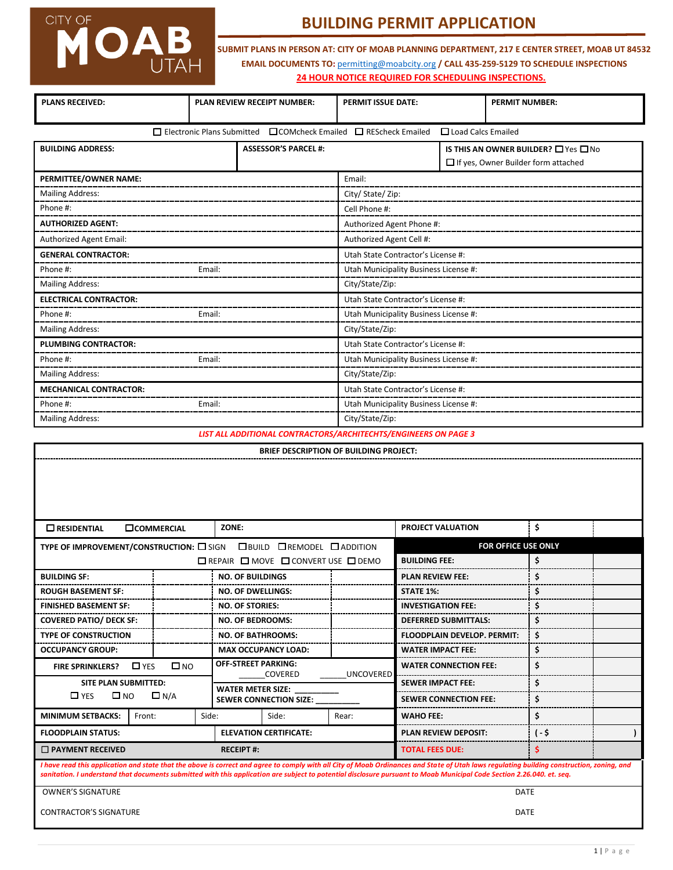# CITY OF MOAB

## **BUILDING PERMIT APPLICATION**

**24 HOUR NOTICE REQUIRED FOR SCHEDULING INSPECTIONS. SUBMIT PLANS IN PERSON AT: CITY OF MOAB PLANNING DEPARTMENT, 217 E CENTER STREET, MOAB UT 84532 EMAIL DOCUMENTS TO:** [permitting@moabcity.org](mailto:permitting@moabcity.org) **/ CALL 435-259-5129 TO SCHEDULE INSPECTIONS**

| <b>PLANS RECEIVED:</b>        |                                                                                                         | PLAN REVIEW RECEIPT NUMBER: | PERMIT ISSUE DATE:                    |  | <b>PERMIT NUMBER:</b>                                                                 |
|-------------------------------|---------------------------------------------------------------------------------------------------------|-----------------------------|---------------------------------------|--|---------------------------------------------------------------------------------------|
|                               | $\Box$ Electronic Plans Submitted $\Box$ COMcheck Emailed $\Box$ REScheck Emailed<br>Load Calcs Emailed |                             |                                       |  |                                                                                       |
| <b>BUILDING ADDRESS:</b>      |                                                                                                         | <b>ASSESSOR'S PARCEL #:</b> |                                       |  | IS THIS AN OWNER BUILDER? $\Box$ Yes $\Box$ No<br>If yes, Owner Builder form attached |
| PERMITTEE/OWNER NAME:         |                                                                                                         |                             | Email:                                |  |                                                                                       |
| <b>Mailing Address:</b>       |                                                                                                         |                             | City/ State/ Zip:                     |  |                                                                                       |
| Phone #:                      |                                                                                                         |                             | Cell Phone #:                         |  |                                                                                       |
| <b>AUTHORIZED AGENT:</b>      |                                                                                                         |                             | Authorized Agent Phone #:             |  |                                                                                       |
| Authorized Agent Email:       |                                                                                                         |                             | Authorized Agent Cell #:              |  |                                                                                       |
| <b>GENERAL CONTRACTOR:</b>    |                                                                                                         |                             | Utah State Contractor's License #:    |  |                                                                                       |
| Phone #:                      | Email:                                                                                                  |                             | Utah Municipality Business License #: |  |                                                                                       |
| <b>Mailing Address:</b>       |                                                                                                         |                             | City/State/Zip:                       |  |                                                                                       |
| <b>ELECTRICAL CONTRACTOR:</b> |                                                                                                         |                             | Utah State Contractor's License #:    |  |                                                                                       |
| Phone #:                      | Email:                                                                                                  |                             | Utah Municipality Business License #: |  |                                                                                       |
| <b>Mailing Address:</b>       |                                                                                                         |                             | City/State/Zip:                       |  |                                                                                       |
| <b>PLUMBING CONTRACTOR:</b>   |                                                                                                         |                             | Utah State Contractor's License #:    |  |                                                                                       |
| Phone #:                      | Email:                                                                                                  |                             | Utah Municipality Business License #: |  |                                                                                       |
| <b>Mailing Address:</b>       |                                                                                                         |                             | City/State/Zip:                       |  |                                                                                       |
| <b>MECHANICAL CONTRACTOR:</b> |                                                                                                         |                             | Utah State Contractor's License #:    |  |                                                                                       |
| Phone #:                      | Email:                                                                                                  |                             | Utah Municipality Business License #: |  |                                                                                       |
| <b>Mailing Address:</b>       |                                                                                                         |                             | City/State/Zip:                       |  |                                                                                       |

*LIST ALL ADDITIONAL CONTRACTORS/ARCHITECHTS/ENGINEERS ON PAGE 3* 

| <b>BRIEF DESCRIPTION OF BUILDING PROJECT:</b> |  |
|-----------------------------------------------|--|
|-----------------------------------------------|--|

| $\square$ RESIDENTIAL<br><b>COMMERCIAL</b>                                                                                                                                                                                                                                                                                                                           | ZONE:                      |                               |                      | PROJECT VALUATION                  | \$     |  |
|----------------------------------------------------------------------------------------------------------------------------------------------------------------------------------------------------------------------------------------------------------------------------------------------------------------------------------------------------------------------|----------------------------|-------------------------------|----------------------|------------------------------------|--------|--|
| TYPE OF IMPROVEMENT/CONSTRUCTION: O SIGN OBUILD OREMODEL O ADDITION                                                                                                                                                                                                                                                                                                  |                            |                               | FOR OFFICE USE ONLY  |                                    |        |  |
| $\Box$ REPAIR $\Box$ MOVE $\Box$ CONVERT USE $\Box$ DEMO                                                                                                                                                                                                                                                                                                             |                            |                               | <b>BUILDING FEE:</b> | \$                                 |        |  |
| <b>BUILDING SF:</b>                                                                                                                                                                                                                                                                                                                                                  |                            | <b>NO. OF BUILDINGS</b>       |                      | <b>PLAN REVIEW FEE:</b>            | Ś      |  |
| <b>ROUGH BASEMENT SF:</b>                                                                                                                                                                                                                                                                                                                                            |                            | <b>NO. OF DWELLINGS:</b>      |                      | <b>STATE 1%:</b>                   |        |  |
| <b>FINISHED BASEMENT SF:</b>                                                                                                                                                                                                                                                                                                                                         |                            | <b>NO. OF STORIES:</b>        |                      | <b>INVESTIGATION FEE:</b>          | Ś      |  |
| <b>COVERED PATIO/ DECK SF:</b>                                                                                                                                                                                                                                                                                                                                       |                            | <b>NO. OF BEDROOMS:</b>       |                      | <b>DEFERRED SUBMITTALS:</b>        | \$     |  |
| <b>TYPE OF CONSTRUCTION</b>                                                                                                                                                                                                                                                                                                                                          |                            | <b>NO. OF BATHROOMS:</b>      |                      | <b>FLOODPLAIN DEVELOP. PERMIT:</b> | Ś      |  |
| <b>OCCUPANCY GROUP:</b>                                                                                                                                                                                                                                                                                                                                              |                            | <b>MAX OCCUPANCY LOAD:</b>    |                      | <b>WATER IMPACT FEE:</b>           | \$     |  |
| $\square$ NO<br>$\Box$ YFS<br><b>FIRE SPRINKLERS?</b>                                                                                                                                                                                                                                                                                                                | <b>OFF-STREET PARKING:</b> | COVERED                       | <b>UNCOVERED</b>     | <b>WATER CONNECTION FEE:</b>       | \$     |  |
| <b>SITE PLAN SUBMITTED:</b>                                                                                                                                                                                                                                                                                                                                          | <b>WATER METER SIZE:</b>   |                               |                      | <b>SEWER IMPACT FEE:</b>           | Ś      |  |
| $\Box$ YES<br>$\square$ NO<br>$\Box N/A$                                                                                                                                                                                                                                                                                                                             |                            | <b>SEWER CONNECTION SIZE:</b> |                      | <b>SEWER CONNECTION FEE:</b>       | \$     |  |
| <b>MINIMUM SETBACKS:</b><br>Front:                                                                                                                                                                                                                                                                                                                                   | Side:                      | Side:                         | Rear:                | <b>WAHO FEE:</b>                   | \$     |  |
| <b>FLOODPLAIN STATUS:</b>                                                                                                                                                                                                                                                                                                                                            |                            | <b>ELEVATION CERTIFICATE:</b> |                      | <b>PLAN REVIEW DEPOSIT:</b>        | $(-5)$ |  |
| $\Box$ PAYMENT RECEIVED                                                                                                                                                                                                                                                                                                                                              | <b>RECEIPT#:</b>           |                               |                      | <b>TOTAL FEES DUE:</b>             | S      |  |
| I have read this application and state that the above is correct and agree to comply with all City of Moab Ordinances and State of Utah laws regulating building construction, zoning, and<br>sanitation. I understand that documents submitted with this application are subject to potential disclosure pursuant to Moab Municipal Code Section 2.26.040. et. seq. |                            |                               |                      |                                    |        |  |
| <b>OWNER'S SIGNATURE</b><br><b>DATE</b>                                                                                                                                                                                                                                                                                                                              |                            |                               |                      |                                    |        |  |
| <b>CONTRACTOR'S SIGNATURE</b><br>DATE                                                                                                                                                                                                                                                                                                                                |                            |                               |                      |                                    |        |  |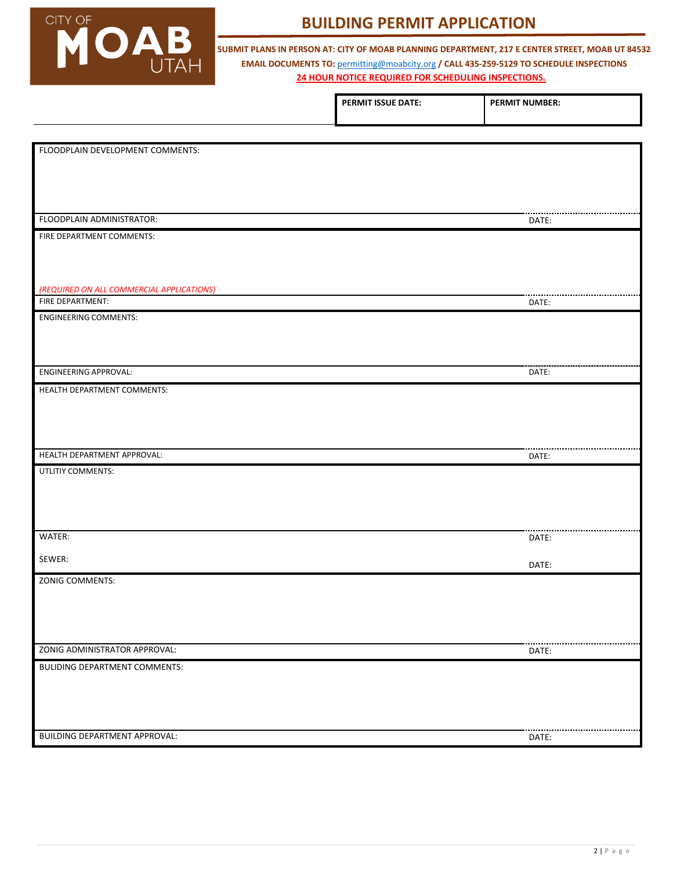

### **BUILDING PERMIT APPLICATION**

**24 HOUR NOTICE REQUIRED FOR SCHEDULING INSPECTIONS. SUBMIT PLANS IN PERSON AT: CITY OF MOAB PLANNING DEPARTMENT, 217 E CENTER STREET, MOAB UT 84532 EMAIL DOCUMENTS TO:** [permitting@moabcity.org](mailto:permitting@moabcity.org) **/ CALL 435-259-5129 TO SCHEDULE INSPECTIONS**

|                                           | PERMIT ISSUE DATE: | <b>PERMIT NUMBER:</b> |
|-------------------------------------------|--------------------|-----------------------|
|                                           |                    |                       |
| FLOODPLAIN DEVELOPMENT COMMENTS:          |                    |                       |
|                                           |                    |                       |
|                                           |                    |                       |
|                                           |                    |                       |
| FLOODPLAIN ADMINISTRATOR:                 |                    | DATE:                 |
| FIRE DEPARTMENT COMMENTS:                 |                    |                       |
|                                           |                    |                       |
| (REQUIRED ON ALL COMMERCIAL APPLICATIONS) |                    |                       |
| FIRE DEPARTMENT:                          |                    | DATE:                 |
| <b>ENGINEERING COMMENTS:</b>              |                    |                       |
|                                           |                    |                       |
| <b>ENGINEERING APPROVAL:</b>              |                    | DATE:                 |
| HEALTH DEPARTMENT COMMENTS:               |                    |                       |
|                                           |                    |                       |
|                                           |                    |                       |
| HEALTH DEPARTMENT APPROVAL:               |                    | DATE:                 |
| UTLITIY COMMENTS:                         |                    |                       |
|                                           |                    |                       |
|                                           |                    |                       |
| WATER:                                    |                    | DATE:                 |
| SEWER:                                    |                    | DATE:                 |
| ZONIG COMMENTS:                           |                    |                       |
|                                           |                    |                       |
|                                           |                    |                       |
|                                           |                    |                       |
| ZONIG ADMINISTRATOR APPROVAL:             |                    | DATE:                 |
| <b>BULIDING DEPARTMENT COMMENTS:</b>      |                    |                       |
|                                           |                    |                       |
|                                           |                    |                       |
| <b>BUILDING DEPARTMENT APPROVAL:</b>      |                    | DATE:                 |